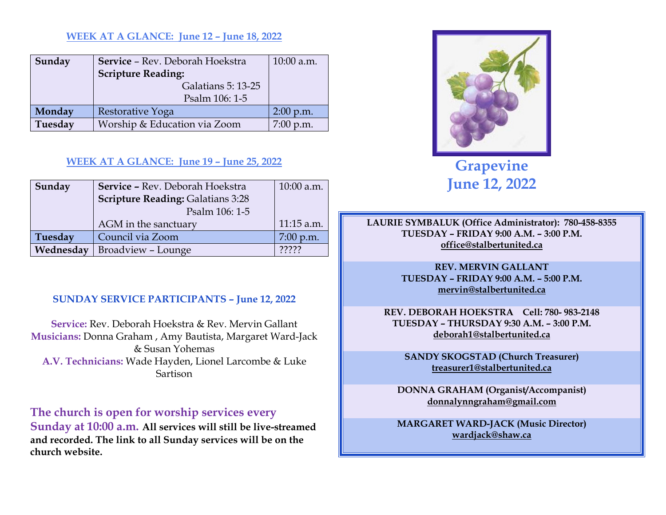#### **WEEK AT A GLANCE: June 12 – June 18, 2022**

| Sunday  | Service - Rev. Deborah Hoekstra | 10:00 a.m.  |
|---------|---------------------------------|-------------|
|         | <b>Scripture Reading:</b>       |             |
|         | Galatians 5: 13-25              |             |
|         | Psalm 106: 1-5                  |             |
| Monday  | Restorative Yoga                | $2:00$ p.m. |
| Tuesday | Worship & Education via Zoom    | 7:00 p.m.   |

#### **WEEK AT A GLANCE: June 19 – June 25, 2022**

| Sunday    | Service - Rev. Deborah Hoekstra          | $10:00$ a.m. |
|-----------|------------------------------------------|--------------|
|           | <b>Scripture Reading: Galatians 3:28</b> |              |
|           | Psalm 106: 1-5                           |              |
|           | AGM in the sanctuary                     | $11:15$ a.m. |
| Tuesday   | Council via Zoom                         | $7:00$ p.m.  |
| Wednesday | Broadview - Lounge                       | 22222        |

#### **SUNDAY SERVICE PARTICIPANTS – June 12, 2022**

**Service:** Rev. Deborah Hoekstra & Rev. Mervin Gallant**Musicians:** Donna Graham , Amy Bautista, Margaret Ward-Jack & Susan Yohemas **A.V. Technicians:** Wade Hayden, Lionel Larcombe & Luke Sartison

**The church is open for worship services every** 

**Sunday at 10:00 a.m. All services will still be live-streamed and recorded. The link to all Sunday services will be on the church website.** 



**Grapevine June 12, 2022** 

**LAURIE SYMBALUK (Office Administrator): 780-458-8355 TUESDAY – FRIDAY 9:00 A.M. – 3:00 P.M. office@stalbertunited.ca** 

> **REV. MERVIN GALLANT TUESDAY – FRIDAY 9:00 A.M. – 5:00 P.M. mervin@stalbertunited.ca**

**REV. DEBORAH HOEKSTRA Cell: 780- 983-2148 TUESDAY – THURSDAY 9:30 A.M. – 3:00 P.M. deborah1@stalbertunited.ca** 

**SANDY SKOGSTAD (Church Treasurer) treasurer1@stalbertunited.ca** 

**DONNA GRAHAM (Organist/Accompanist) donnalynngraham@gmail.com** 

**MARGARET WARD-JACK (Music Director) wardjack@shaw.ca**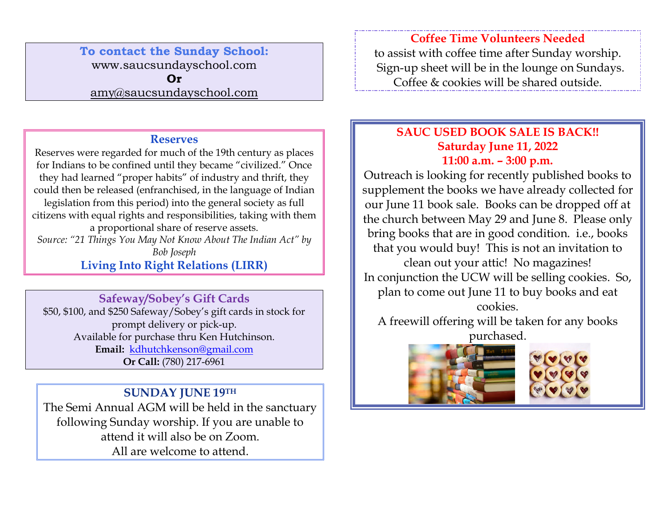### **To contact the Sunday School:** www.saucsundayschool.com **Or**

amy@saucsundayschool.com

### **Reserves**

 Reserves were regarded for much of the 19th century as places for Indians to be confined until they became "civilized." Once they had learned "proper habits" of industry and thrift, they could then be released (enfranchised, in the language of Indian legislation from this period) into the general society as full citizens with equal rights and responsibilities, taking with them a proportional share of reserve assets. *Source: "21 Things You May Not Know About The Indian Act" by Bob Joseph* 

**Living Into Right Relations (LIRR)** 

# **Safeway/Sobey's Gift Cards**

\$50, \$100, and \$250 Safeway/Sobey's gift cards in stock for prompt delivery or pick-up. Available for purchase thru Ken Hutchinson. **Email:** kdhutchkenson@gmail.com **Or Call:** (780) 217-6961

### **SUNDAY JUNE 19TH**

The Semi Annual AGM will be held in the sanctuary following Sunday worship. If you are unable to attend it will also be on Zoom. All are welcome to attend.

**Coffee Time Volunteers Needed** to assist with coffee time after Sunday worship. Sign-up sheet will be in the lounge on Sundays.

Coffee & cookies will be shared outside.

### **SAUC USED BOOK SALE IS BACK!! Saturday June 11, 2022 11:00 a.m. – 3:00 p.m.**

Outreach is looking for recently published books to supplement the books we have already collected for our June 11 book sale. Books can be dropped off at the church between May 29 and June 8. Please only bring books that are in good condition. i.e., books that you would buy! This is not an invitation to clean out your attic! No magazines! In conjunction the UCW will be selling cookies. So, plan to come out June 11 to buy books and eat cookies.

A freewill offering will be taken for any books purchased.



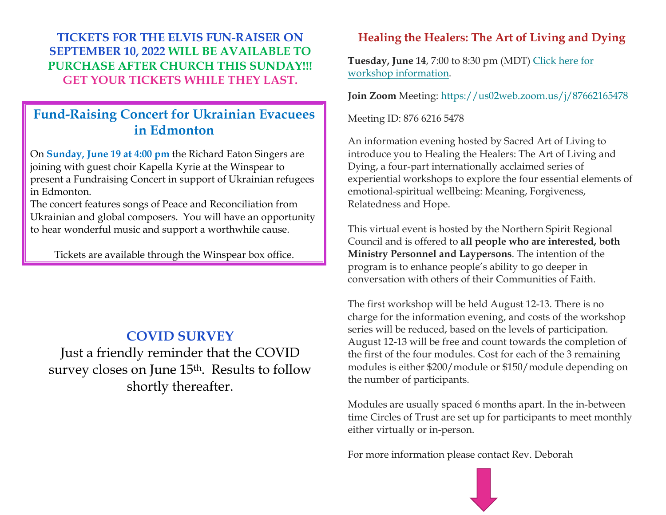**TICKETS FOR THE ELVIS FUN-RAISER ON SEPTEMBER 10, 2022 WILL BE AVAILABLE TO PURCHASE AFTER CHURCH THIS SUNDAY!!!GET YOUR TICKETS WHILE THEY LAST.** 

## **Fund-Raising Concert for Ukrainian Evacuees in Edmonton**

On **Sunday, June 19 at 4:00 pm** the Richard Eaton Singers are joining with guest choir Kapella Kyrie at the Winspear to present a Fundraising Concert in support of Ukrainian refugees in Edmonton.

The concert features songs of Peace and Reconciliation from Ukrainian and global composers. You will have an opportunity to hear wonderful music and support a worthwhile cause.

Tickets are available through the Winspear box office.

## **COVID SURVEY**

Just a friendly reminder that the COVID survey closes on June 15<sup>th</sup>. Results to follow shortly thereafter.

### **Healing the Healers: The Art of Living and Dying**

**Tuesday, June 14**, 7:00 to 8:30 pm (MDT) Click here for workshop information.

**Join Zoom** Meeting: https://us02web.zoom.us/j/87662165478

Meeting ID: 876 6216 5478

An information evening hosted by Sacred Art of Living to introduce you to Healing the Healers: The Art of Living and Dying, a four-part internationally acclaimed series of experiential workshops to explore the four essential elements of emotional-spiritual wellbeing: Meaning, Forgiveness, Relatedness and Hope.

This virtual event is hosted by the Northern Spirit Regional Council and is offered to **all people who are interested, both Ministry Personnel and Laypersons**. The intention of the program is to enhance people's ability to go deeper in conversation with others of their Communities of Faith.

The first workshop will be held August 12-13. There is no charge for the information evening, and costs of the workshop series will be reduced, based on the levels of participation. August 12-13 will be free and count towards the completion of the first of the four modules. Cost for each of the 3 remaining modules is either \$200/module or \$150/module depending on the number of participants.

Modules are usually spaced 6 months apart. In the in-between time Circles of Trust are set up for participants to meet monthly either virtually or in-person.

For more information please contact Rev. Deborah